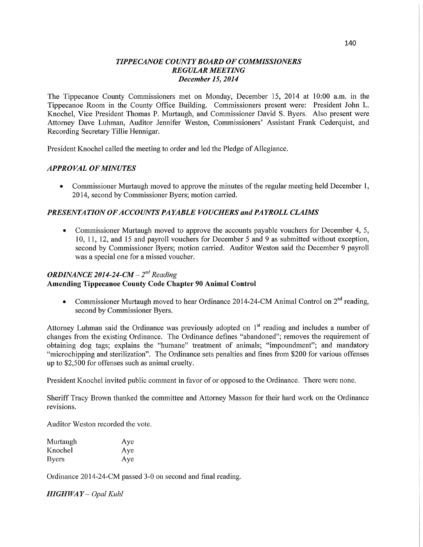### *TIPPE CANOE COUNTY BOARD* OF *COMMISSIONERS REGULAR MEETING December* 15, *2014*

The Tippecanoe County Commissioners met on Monday, December 15, 2014 at 10:00 am. in the Tippecanoe Room in the County Office Building. Commissioners present were: President John L. Knochel, **Vice** President Thomas P. Murtaugh, and Commissioner David S. Byers. Also present were Attorney Dave Luhman, Auditor Jennifer Weston, Commissioners' Assistant Frank Cederquist, and Recording Secretary Tillie Hennigar.

President Knochel called the meeting to order and led the Pledge of Allegiance.

### *APPROVAL* OF *MINUTES*

Commissioner Murtaugh moved to approve the minutes of the regular meeting held December 1, 2014, second by Commissioner Byers; motion carried.

### *PRESENTATION* OF *A CCOUNT S* PA *YABLE VOUCHERS* and *PAYROLL CLAIMS*

**0** Commissioner Murtaugh moved to approve the accounts payable vouchers for December 4, 5, 10, 11, 12, and 15 and payroll vouchers for December 5 and 9 as submitted without exception, second by Commissioner Byers; motion carried. Auditor Weston said the December *9* payroll was <sup>a</sup>special one for a missed voucher.

# *ORDINANCE 2014-24-CM -*  $2<sup>nd</sup>$  *Reading* **Amending Tippecanoe County Code Chapter** 90 Animal **Control**

**0** Commissioner Murtaugh moved to hear Ordinance 2014-24-CM Animal Control on 2"d reading, second by Commissioner Byers.

Attorney Luhman said the Ordinance was previously adopted on 1<sup>st</sup> reading and includes a number of changes from the existing Ordinance. The Ordinance defines "abandoned"; removes the requirement of obtaining dog tags; explains the "humane" treatment of animals; "impoundment"; and mandatory "microchipping and sterilization". The Ordinance sets penalties and **fines** from \$200 for various offenses up to \$2,500 for offenses such as animal cruelty.

President Knochel invited public comment in favor of or opposed to the Ordinance. There were none.

Sheriff Tracy Brown thanked the committee and Attorney Masson for their hard work on the Ordinance revisions.

Auditor Weston recorded the vote.

| Murtaugh     | Aye |
|--------------|-----|
| Knochel      | Aye |
| <b>Byers</b> | Aye |

Ordinance 2014—24-CM passed 3-0 on second and final reading.

*HIGHWAY* - Opal Kuhl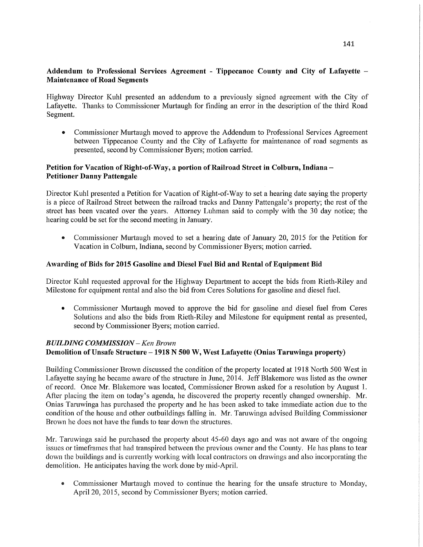## **Addendum** to **Professional Services Agreement** *-* **Tippecanoe County** and **City** of **Lafayette — Maintenance** of **Road** Segments

Highway Director Kuhl presented an addendum to <sup>a</sup>previously signed agreement with the City of Lafayette. **Thanks** to Commissioner Murtaugh for finding an error in the description of the third Road Segment.

**0** Commissioner Murtaugh moved to approve the Addendum to Professional Services Agreement between Tippecanoe County and the City of Lafayette for maintenance of road segments as presented, second by Commissioner Byers; motion carried.

### **Petition** for **Vacation** of **Right-of-Way, a portion** of **Railroad Street** in Colburn, **Indiana — Petitioner Danny Pattengale**

Director Kuhl presented **a** Petition for Vacation of Right-of—Way to set a hearing date saying the property is a piece of Railroad Street between the railroad tracks and Danny Pattengale's property; the rest of the street has been vacated over the years. Attorney Luhman said to comply with the 30 day notice; the hearing could be set for the second meeting in January.

**0** Commissioner Murtaugh moved to set a hearing date of January 20, 2015 for the Petition for Vacation in Colburn, Indiana, second by Commissioner Byers; motion carried.

### **Awarding** of **Bids** for **2015** Gasoline and Diesel Fuel Bid and Rental of **Equipment** Bid

Director Kuhl requested approval for the Highway Department to accept the bids from Rieth-Riley and Milestone for equipment rental and also the bid from Ceres Solutions for gasoline and diesel fuel.

**0** Commissioner Murtaugh moved to approve the bid for gasoline and diesel fuel from Ceres Solutions and also the bids from Kieth-Riley and Milestone for equipment rental as presented, second by Commissioner Byers; motion carried.

#### *BUILDING COMMISSION* — Ken *Brown*

### Demolition of **Unsafe Structure — 1918 N** 500 W, **West Lafayette** (Onias **Taruwinga property)**

Building Commissioner Brown discussed the condition of the property located at 1918 North 500 West in Lafayette saying he became aware of the structure in June, 2014. Jeff Blakemore was listed as the owner of record. Once Mr. Blakemore was located, Commissioner Brown asked for a resolution by August 1. After placing the item on today's agenda, he discovered the property recently changed ownership. Mr. Onias Taruwinga has purchased the property and he has been asked to take immediate action due to the condition of the house and other outbuildings falling in. Mr. Taruwinga advised Building Commissioner Brown he does not have the funds to tear down the structures.

Mr. Taruwinga said he purchased the property about 45-60 days ago and was not aware of the ongoing issues or timeframes that had transpired between the previous owner and the County. He has plans to tear down the buildings and is currently working with local contractors on drawings and also incorporating the demolition. He anticipates having the work done by mid-April.

**0** Commissioner Multaugh moved to continue the hearing for the unsafe structure to Monday, April 20, 2015, second by Commissioner Byers; motion carried.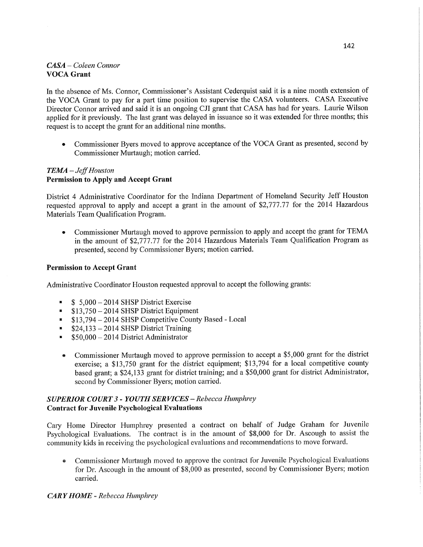# *CASA* — *Coleen Connor*  **VOCA Grant**

In the absence of Ms. Connor, Commissioner's Assistant Cederquist said it is a nine month extension of the VOCA Grant to pay for a part time position to supervise the CASA volunteers. CASA Executive Director Connor arrived and said it is an ongoing CJI grant that **CASA** has had for years. Laurie Wilson applied for it previously. The last grant was delayed in issuance so it was extended for three months; this request is to accept the grant for an additional nine months.

**<sup>0</sup>**Commissioner Byers moved to approve acceptance of the VOCA Grant as presented, second by Commissioner Murtaugh; motion carried.

## *TEAM* **—** Jefi' *Houston*  **Permission** to **Apply** and **Accept Grant**

District 4 Administrative Coordinator for the Indiana Department of Homeland Security Jeff Houston requested approval to apply and accept a grant in the amount of \$2,777.77 for the 2014 Hazardous Materials Team Qualification **Program.** 

• Commissioner Murtaugh moved to approve permission to apply and accept the grant for TEMA in the amount of **\$2,777.77** for the 2014 Hazardous Materials Team Qualification Program as presented, second by Commissioner Byers; **motion** carried.

### **Permission** to **Accept Grant**

Administrative Coordinator Houston requested approval to accept the following grants:

- $$ 5,000 2014$  SHSP District Exercise
- \$13,750 2014 SHSP District Equipment  $\blacksquare$
- \$13,794 2014 SHSP Competitive County Based Local
- \$24,133 2014 **SHSP** District Training
- \$50,000 2014 District Administrator  $\blacksquare$
- **<sup>0</sup>**Commissioner Murtaugh moved to approve permission to accept a \$5,000 grant for the district exercise; a \$13,750 grant for the district equipment; \$13,794 for a local competitive county based **grant;** a \$24,133 grant for district training; and a \$50,000 **grant** for district Administrator, second by Commissioner Byers; motion carried.

## *SUPERIOR COURT 3 - YOUTH* SER *VICES — Rebecca Humphrey*  **Contract** for **Juvenile Psychological Evaluations**

Cary Home Director Humphrey presented a contract on behalf of Judge Graham for Juvenile Psychological Evaluations. The contract is in the amount of **\$8,000** for Dr. Ascough to assist the community kids in receiving the psychological evaluations and recommendations to move forward.

**-** Commissioner Mufiaugh moved to approve the contract for Juvenile Psychological Evaluations for Dr. Ascough in the amount of \$8,000 as presented, second by Commissioner Byers; motion carried.

### *CARY HOME - Rebecca Humphrey*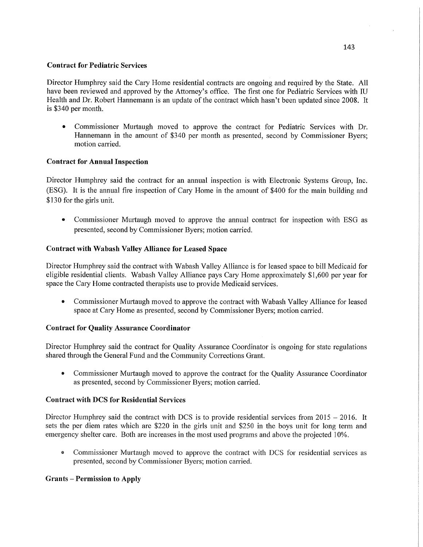### **Contract** for **Pediatric Services**

Director Humphrey said the Cary Home residential contracts are ongoing and required by the **State.** All have been reviewed and approved by the Attorney's office. The first one for Pediatric Services with IU Health and Dr. Robert Hannemann is an update of the contract which hasn't been updated since **2008.** It is \$340 per month.

**0** Commissioner Murtaugh moved to approve the contract for Pediatric Services with Dr. Hannemann in the amount of \$340 per month as presented, second by Commissioner Byers; motion carried.

## **Contract** for **Annual Inspection**

Director Humphrey said the contract for an annual inspection is with Electronic **Systems** Group, Inc. (ESG). It is the annual fire inspection of Cary Home in the amount of \$400 for the main building and \$130 for the girls **unit.** 

*0* Commissioner Murtaugh moved to approve the annual contract for inspection with ESG as presented, second by **Commissioner** Byers; motion carried.

## **Contract with Wabash Valley Alliance** for **Leased Space**

Director Humphrey said the contract with Wabash Valley Alliance is for leased space to bill Medicaid for eligible residential clients. Wabash Valley Alliance pays Cary Home approximately \$1,600 per year for space the Cary Home contracted therapists use to provide Medicaid services.

**0** Commissioner Murtaugh moved to approve the contract with Wabash Valley Alliance for leased space at Cary Home as presented, second by Commissioner Byers; **motion** carried.

## **Contract** for **Quality Assurance Coordinator**

Director Humphrey said the contract for Quality Assurance Coordinator is ongoing for **state** regulations shared through the General Fund and the Community Corrections Grant.

**0** Commissioner Murtaugh moved to approve the contract for the Quality Assurance Coordinator as presented, second by Commissioner Byers; motion carried.

## **Contract with** DCS for **Residential Services**

Director Humphrey said the contract with DCS is to provide residential services from  $2015 - 2016$ . It sets the per diem rates which are \$220 in the girls unit and \$250 in the boys unit for long term and emergency shelter care. Both are increases in the most used programs and above the projected 10%.

**0** Commissioner Murtaugh moved to approve the contract with DCS for residential sewices as presented, second by Commissioner Byers; motion carried.

## **Grants — Permission** to **Apply**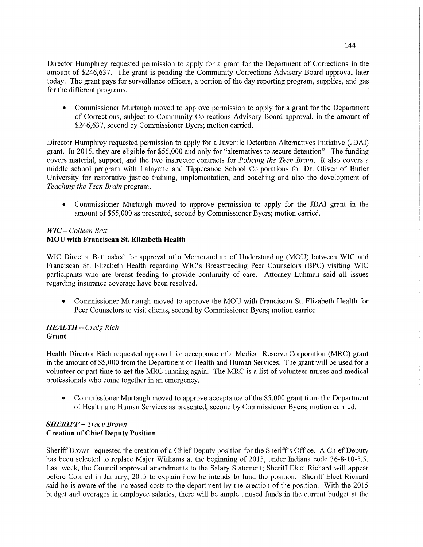Director Humphrey requested permission to apply for a grant for the Department of Corrections in the amount of \$246,637. The grant is pending the Community Corrections Advisory Board approval later today. The grant pays for surveillance officers, a portion of the day reporting program, supplies, and gas for the different programs.

**0** Commissioner **Murtaugh** moved to approve permission to apply for <sup>a</sup>grant for the Department of Corrections, subject to Community Corrections Advisory Board approval, in the amount of \$246,637, second by Commissioner Byers; motion carried.

Director Humphrey requested permission to apply for a Juvenile Detention Alternatives Initiative (JDAI) grant. In 2015, they are eligible for \$55,000 and only for "alternatives to secure detention". The funding covers material, support, and the two instructor contracts for *Policing* the *Teen Brain.* It also covers <sup>a</sup> middle school program with Lafayette and Tippecanoe School Corporations for Dr. Oliver of Butler University for restorative justice training, implementation, and coaching and also the development of *Teaching* the *Teen Brain* program.

**0** Commissioner Murtaugh moved to approve permission to apply for the JDAI grant in the amount of \$55,000 as presented, second by Commissioner Byers; motion carried.

### WIC **—** *Colleen Batt*  MOU **with Franciscan** St. **Elizabeth Health**

 $\chi \rightarrow$ 

WIC Director Batt asked for approval of a Memorandum of Understanding (MOU) between WIC and Franciscan St. Elizabeth Health regarding WIC's Breastfeeding Peer Counselors (BPC) Visiting WIC participants who are breast feeding to provide continuity of care. Attorney Luhman said all issues regarding insurance coverage have been resolved.

**0** Commissioner Murtaugh moved to approve the MOU with Franciscan St. Elizabeth Health for Peer Counselors to visit clients, second by Commissioner Byers; motion carried.

### *HEALTH* — *Craig Rich*  **Grant**

Health Director Rich requested approval for acceptance of a Medical Reserve Corporation (MRC) gran<sup>t</sup> in the amount of \$5,000 from the Department of Health and Human Services. The grant will be used for <sup>a</sup> volunteer or part time to get the MRC running again. The MRC is a list of volunteer nurses and medical professionals who come together in an emergency.

**0** Commissioner Murtaugh moved to approve acceptance of the \$5,000 grant from the Department of Health and Human Services as presented, second by Commissioner Byers; motion carried.

## *SHERIFF* **—** *Tracy Brown*  **Creation** of Chief **Deputy Position**

Sheriff Brown requested the creation of a Chief Deputy position for the Sheriff's Office. A Chief Deputy has been selected to replace Major Williams at the beginning of 2015, under Indiana code 36-8-10-5.5. Last week, the Council approved amendments to the Salary Statement; Sheriff Elect Richard will appear before Council in January, 2015 to explain how he intends to fund the position. Sheriff Elect Richard said he is aware of the increased costs to the department by the creation of the position. With the 2015 budget and overages in employee salaries, there will be ample unused funds in the current budget at the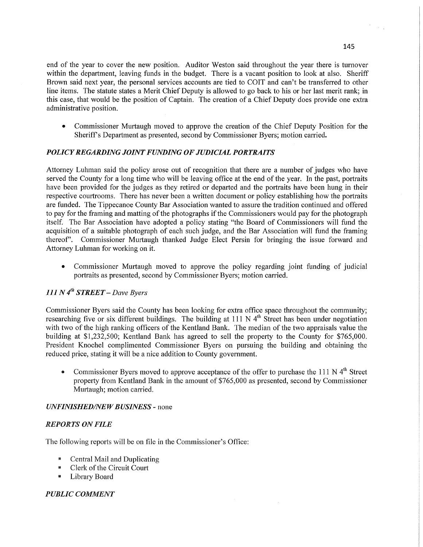end of the year to cover the new position. Auditor Weston said throughout the year there is turnover within the department, leaving funds in the budget. There is a vacant position to look at also. Sheriff Brown said next year, the personal services accounts are tied to COIT and can't be transferred to other line **items.** The statute states a Merit Chief Deputy is allowed to go back to his or her last merit rank; in this case, that would be the position of Captain. The creation of a Chief Deputy does provide one extra administrative position.

**0** Commissioner Murtaugh moved to approve the creation of the Chief Deputy Position for the Sheriff's Department as presented, second by Commissioner Byers; motion carried.

### *POLICY REGARDING JOINT FUNDING* 0F *J* UDI *CL4L PORTRAITS*

Attorney Luhman said the policy arose out of recognition that there are a number of judges who have served the County for a long time who will be leaving office at the end of the year. In the past, portraits have been provided for the judges as they retired or departed and the portraits have been hung in their respective courtrooms. There has never been a written document or policy establishing how the portraits are funded. The Tippecanoe County Bar Association wanted to assure the tradition continued and offered to pay for the framing and matting of the photographs if the Commissioners would pay for the photograph itself. The Bar Association have adopted a policy stating "the Board of Commissioners will fund the acquisition of a suitable photograph of each such judge, and the Bar Association will fund the framing thereof". Commissioner Murtaugh thanked Judge Elect **Persin** for bringing the issue forward and Attorney Luhman for working on it.

**0** Commissioner Murtaugh moved to approve the policy regarding joint funding of judicial portraits as presented, second by Commissioner Byers; motion carried.

# 111 *N* 4'" *STREET — Dave Byers*

Commissioner Byers said the County has been looking for extra office space throughout the community; researching five or six different buildings. The building at 111 N 4<sup>th</sup> Street has been under negotiation with two of the high ranking officers of the Kentland Bank. The median of the two appraisals value the building at \$1,232,500; Kentland Bank has agreed to sell the property to the County for \$765,000. President Knochel complimented Commissioner Byers on pursuing the building and obtaining the reduced price, stating it will be a nice addition to County government.

Commissioner Byers moved to approve acceptance of the offer to purchase the 111 N  $4<sup>th</sup>$  Street property from Kentland Bank in the amount of \$765,000 as presented, second by Commissioner Murtaugh; motion carried.

### *UNFINISHED/NEW BUSINESS -* none

### *REPORTS* ON *FILE*

The following reports will be on file in the Commissioner's Office:

- $\blacksquare$  Central Mail and Duplicating
- **I** Clerk of the Circuit Court
- . Library Board

#### *PUBLIC COMMENT*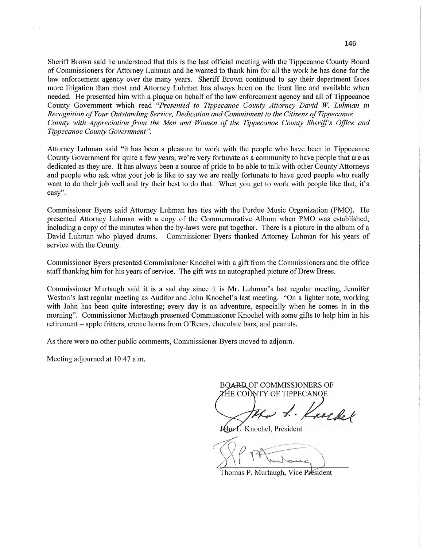Sheriff Brown said he understood that this is the last official meeting with the Tippecanoe County Board of Commissioners for Attorney Luhman and he wanted to thank him for all the work he has done for the law enforcement agency over the many years. Sheriff Brown continued to say their department faces more litigation than most and Attorney Luhman has always been on the front line and available when needed. He presented him with <sup>a</sup>plaque on behalf of the law enforcement agency and all of Tippecanoe County Government which read *"Presented* to *Tippecanoe County Attorney David* W. *Luhman* in *Recognition* of *Your Outstanding Service, Dedication* and *Commitment* to the *Citizens* of *Tippecanoe County with Appreciation* fiom the Men and *Women* of the *Tippecanoe County Sherifl's Oflice* and *Tippecanoe County Government".* 

Attorney Luhman said "it has been <sup>a</sup>pleasure to work with the people who have been in Tippecanoe County Government for quite a few years; we're very fortunate as a community to have people that are as dedicated as they are. It has always **been** <sup>a</sup>source of pride to be able to talk with other County Attorneys and people who ask what your job is like to say we are really fortunate to have good people who really want to do their job well and try their best to do that. When you get to work with people like that, it's easy".

Commissioner Byers said Attorney Luhman has ties with the Purdue Music Organization (PMO). He presented Attorney Luhman with <sup>a</sup>copy of the Commemorative Album when PMO was established, including **<sup>a</sup>**copy of the minutes when the by-laws were pu<sup>t</sup>together. There is <sup>a</sup>picture in the album of **<sup>a</sup>** David Luhman who played drums. Commissioner Byers thanked Attorney Luhman for his years of service with the County.

Commissioner Byers presented Commissioner Knochel with <sup>a</sup>gift from the Commissioners and the office staff thanking him for his years of service. The gift was an autographed picture of Drew Brees.

Commissioner Murtaugh said it is a sad day since it is Mr. Luhman's last regular meeting, Jennifer Weston's last regular meeting as Auditor and John Knochel's last meeting. "On a lighter note, working with John has been quite interesting; every day is an adventure, especially when he comes in in the morning". Commissioner Murtaugh presented Commissioner Knochel with some gifts to help him in his retirement **—** apple fritters, creme horns from O'Rears, chocolate bars, and peanuts.

As there were no other public comments, Commissioner Byers moved to adjourn.

Meeting adjourned at 10:47 a.m.

 $\epsilon$ 

**BOARD OF COMMISSIONERS OF** *'HE COUNTY OF TIPPECANOE* 

roche

John L. Knochel, President

Thomas P. Murtaugh, Vice Président